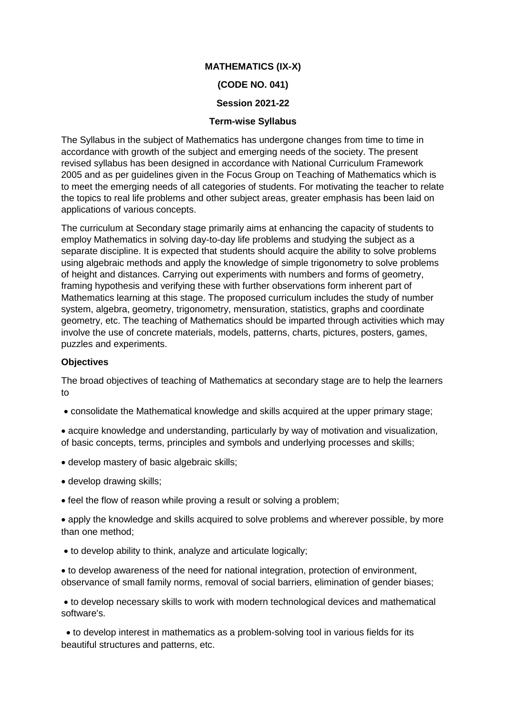# **MATHEMATICS (IX-X)**

### **(CODE NO. 041)**

### **Session 2021-22**

### **Term-wise Syllabus**

The Syllabus in the subject of Mathematics has undergone changes from time to time in accordance with growth of the subject and emerging needs of the society. The present revised syllabus has been designed in accordance with National Curriculum Framework 2005 and as per guidelines given in the Focus Group on Teaching of Mathematics which is to meet the emerging needs of all categories of students. For motivating the teacher to relate the topics to real life problems and other subject areas, greater emphasis has been laid on applications of various concepts.

The curriculum at Secondary stage primarily aims at enhancing the capacity of students to employ Mathematics in solving day-to-day life problems and studying the subject as a separate discipline. It is expected that students should acquire the ability to solve problems using algebraic methods and apply the knowledge of simple trigonometry to solve problems of height and distances. Carrying out experiments with numbers and forms of geometry, framing hypothesis and verifying these with further observations form inherent part of Mathematics learning at this stage. The proposed curriculum includes the study of number system, algebra, geometry, trigonometry, mensuration, statistics, graphs and coordinate geometry, etc. The teaching of Mathematics should be imparted through activities which may involve the use of concrete materials, models, patterns, charts, pictures, posters, games, puzzles and experiments.

### **Objectives**

The broad objectives of teaching of Mathematics at secondary stage are to help the learners to

consolidate the Mathematical knowledge and skills acquired at the upper primary stage;

 acquire knowledge and understanding, particularly by way of motivation and visualization, of basic concepts, terms, principles and symbols and underlying processes and skills;

- develop mastery of basic algebraic skills;
- develop drawing skills;
- feel the flow of reason while proving a result or solving a problem;

 apply the knowledge and skills acquired to solve problems and wherever possible, by more than one method;

to develop ability to think, analyze and articulate logically;

 to develop awareness of the need for national integration, protection of environment, observance of small family norms, removal of social barriers, elimination of gender biases;

 to develop necessary skills to work with modern technological devices and mathematical software's.

 to develop interest in mathematics as a problem-solving tool in various fields for its beautiful structures and patterns, etc.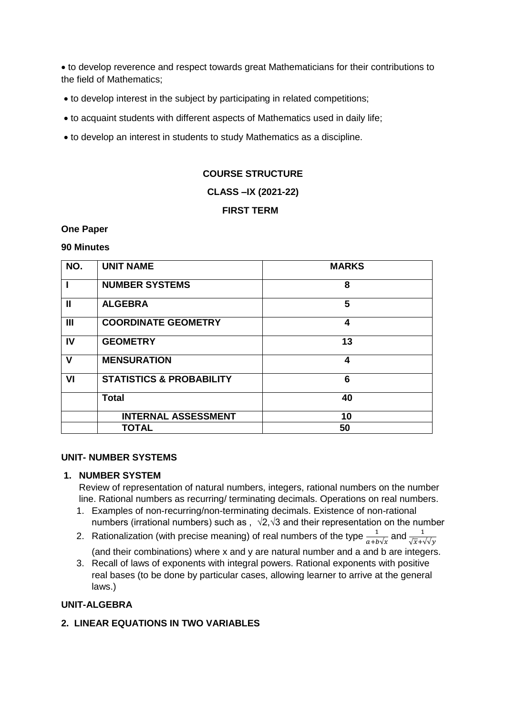to develop reverence and respect towards great Mathematicians for their contributions to the field of Mathematics;

- to develop interest in the subject by participating in related competitions;
- to acquaint students with different aspects of Mathematics used in daily life;
- to develop an interest in students to study Mathematics as a discipline.

#### **COURSE STRUCTURE**

#### **CLASS –IX (2021-22)**

# **FIRST TERM**

#### **One Paper**

#### **90 Minutes**

| NO.            | <b>UNIT NAME</b>                    | <b>MARKS</b> |
|----------------|-------------------------------------|--------------|
|                | <b>NUMBER SYSTEMS</b>               | 8            |
| $\mathbf{I}$   | <b>ALGEBRA</b>                      | 5            |
| $\mathbf{III}$ | <b>COORDINATE GEOMETRY</b>          | 4            |
| IV             | <b>GEOMETRY</b>                     | 13           |
| $\mathbf v$    | <b>MENSURATION</b>                  | 4            |
| VI             | <b>STATISTICS &amp; PROBABILITY</b> | 6            |
|                | <b>Total</b>                        | 40           |
|                | <b>INTERNAL ASSESSMENT</b>          | 10           |
|                | <b>TOTAL</b>                        | 50           |

#### **UNIT- NUMBER SYSTEMS**

#### **1. NUMBER SYSTEM**

Review of representation of natural numbers, integers, rational numbers on the number line. Rational numbers as recurring/ terminating decimals. Operations on real numbers.

- 1. Examples of non-recurring/non-terminating decimals. Existence of non-rational numbers (irrational numbers) such as ,  $\sqrt{2}$ , $\sqrt{3}$  and their representation on the number
- 2. Rationalization (with precise meaning) of real numbers of the type  $\frac{1}{a+b\sqrt{x}}$  and  $\frac{1}{\sqrt{x}+\sqrt{y}}$ (and their combinations) where x and y are natural number and a and b are integers.
- 3. Recall of laws of exponents with integral powers. Rational exponents with positive real bases (to be done by particular cases, allowing learner to arrive at the general laws.)

#### **UNIT-ALGEBRA**

### **2. LINEAR EQUATIONS IN TWO VARIABLES**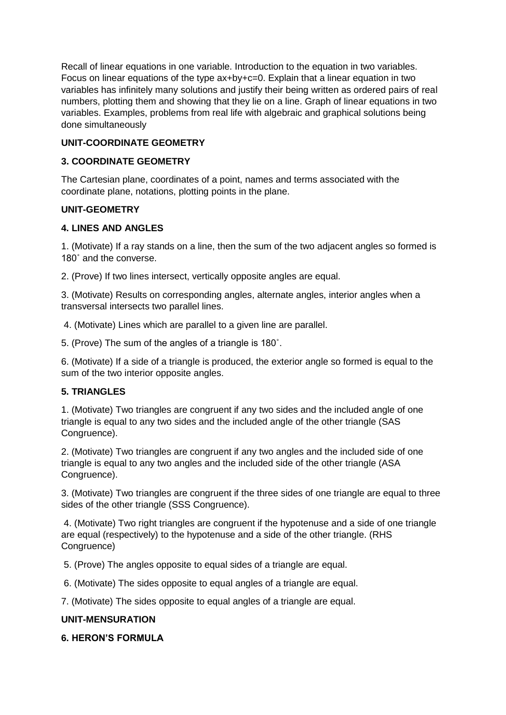Recall of linear equations in one variable. Introduction to the equation in two variables. Focus on linear equations of the type ax+by+c=0. Explain that a linear equation in two variables has infinitely many solutions and justify their being written as ordered pairs of real numbers, plotting them and showing that they lie on a line. Graph of linear equations in two variables. Examples, problems from real life with algebraic and graphical solutions being done simultaneously

# **UNIT-COORDINATE GEOMETRY**

### **3. COORDINATE GEOMETRY**

The Cartesian plane, coordinates of a point, names and terms associated with the coordinate plane, notations, plotting points in the plane.

### **UNIT-GEOMETRY**

### **4. LINES AND ANGLES**

1. (Motivate) If a ray stands on a line, then the sum of the two adjacent angles so formed is 180˚ and the converse.

2. (Prove) If two lines intersect, vertically opposite angles are equal.

3. (Motivate) Results on corresponding angles, alternate angles, interior angles when a transversal intersects two parallel lines.

4. (Motivate) Lines which are parallel to a given line are parallel.

5. (Prove) The sum of the angles of a triangle is 180˚.

6. (Motivate) If a side of a triangle is produced, the exterior angle so formed is equal to the sum of the two interior opposite angles.

# **5. TRIANGLES**

1. (Motivate) Two triangles are congruent if any two sides and the included angle of one triangle is equal to any two sides and the included angle of the other triangle (SAS Congruence).

2. (Motivate) Two triangles are congruent if any two angles and the included side of one triangle is equal to any two angles and the included side of the other triangle (ASA Congruence).

3. (Motivate) Two triangles are congruent if the three sides of one triangle are equal to three sides of the other triangle (SSS Congruence).

4. (Motivate) Two right triangles are congruent if the hypotenuse and a side of one triangle are equal (respectively) to the hypotenuse and a side of the other triangle. (RHS Congruence)

5. (Prove) The angles opposite to equal sides of a triangle are equal.

6. (Motivate) The sides opposite to equal angles of a triangle are equal.

7. (Motivate) The sides opposite to equal angles of a triangle are equal.

# **UNIT-MENSURATION**

# **6. HERON'S FORMULA**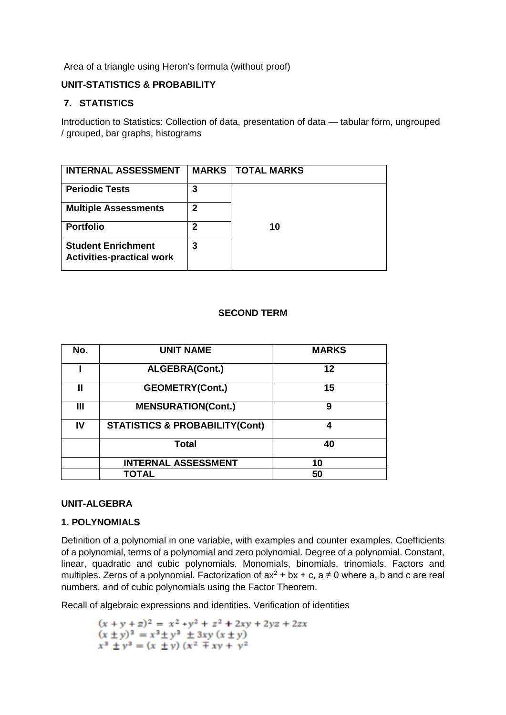Area of a triangle using Heron's formula (without proof)

# **UNIT-STATISTICS & PROBABILITY**

# **7. STATISTICS**

Introduction to Statistics: Collection of data, presentation of data — tabular form, ungrouped / grouped, bar graphs, histograms

| <b>INTERNAL ASSESSMENT</b>                                    |             | <b>MARKS   TOTAL MARKS</b> |
|---------------------------------------------------------------|-------------|----------------------------|
| <b>Periodic Tests</b>                                         | 3           |                            |
| <b>Multiple Assessments</b>                                   | 2           |                            |
| <b>Portfolio</b>                                              | $\mathbf 2$ | 10                         |
| <b>Student Enrichment</b><br><b>Activities-practical work</b> | 3           |                            |

# **SECOND TERM**

| No.            | <b>UNIT NAME</b>                          | <b>MARKS</b> |
|----------------|-------------------------------------------|--------------|
|                | <b>ALGEBRA(Cont.)</b>                     | 12           |
| Ш              | <b>GEOMETRY(Cont.)</b>                    | 15           |
| $\mathbf{III}$ | <b>MENSURATION(Cont.)</b>                 | 9            |
| IV             | <b>STATISTICS &amp; PROBABILITY(Cont)</b> | 4            |
|                | Total                                     | 40           |
|                | <b>INTERNAL ASSESSMENT</b>                | 10           |
|                | TOTAL                                     | 50           |

# **UNIT-ALGEBRA**

# **1. POLYNOMIALS**

Definition of a polynomial in one variable, with examples and counter examples. Coefficients of a polynomial, terms of a polynomial and zero polynomial. Degree of a polynomial. Constant, linear, quadratic and cubic polynomials. Monomials, binomials, trinomials. Factors and multiples. Zeros of a polynomial. Factorization of  $ax^2 + bx + c$ ,  $a \ne 0$  where a, b and c are real numbers, and of cubic polynomials using the Factor Theorem.

Recall of algebraic expressions and identities. Verification of identities

 $(x + y + z)^2 = x^2 + y^2 + z^2 + 2xy + 2yz + 2zx$  $(x \pm y)^3 = x^3 \pm y^3 \pm 3xy (x \pm y)$  $x^3 \pm y^3 = (x \pm y) (x^2 \mp xy + y^2)$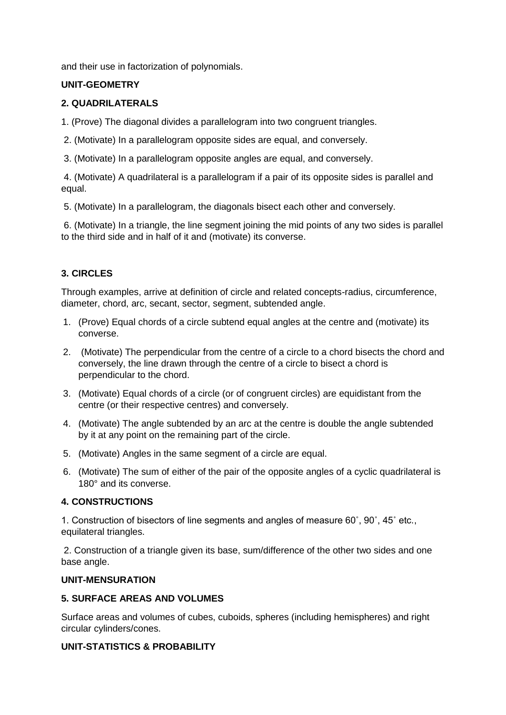and their use in factorization of polynomials.

### **UNIT-GEOMETRY**

### **2. QUADRILATERALS**

1. (Prove) The diagonal divides a parallelogram into two congruent triangles.

- 2. (Motivate) In a parallelogram opposite sides are equal, and conversely.
- 3. (Motivate) In a parallelogram opposite angles are equal, and conversely.

4. (Motivate) A quadrilateral is a parallelogram if a pair of its opposite sides is parallel and equal.

5. (Motivate) In a parallelogram, the diagonals bisect each other and conversely.

6. (Motivate) In a triangle, the line segment joining the mid points of any two sides is parallel to the third side and in half of it and (motivate) its converse.

# **3. CIRCLES**

Through examples, arrive at definition of circle and related concepts-radius, circumference, diameter, chord, arc, secant, sector, segment, subtended angle.

- 1. (Prove) Equal chords of a circle subtend equal angles at the centre and (motivate) its converse.
- 2. (Motivate) The perpendicular from the centre of a circle to a chord bisects the chord and conversely, the line drawn through the centre of a circle to bisect a chord is perpendicular to the chord.
- 3. (Motivate) Equal chords of a circle (or of congruent circles) are equidistant from the centre (or their respective centres) and conversely.
- 4. (Motivate) The angle subtended by an arc at the centre is double the angle subtended by it at any point on the remaining part of the circle.
- 5. (Motivate) Angles in the same segment of a circle are equal.
- 6. (Motivate) The sum of either of the pair of the opposite angles of a cyclic quadrilateral is 180° and its converse.

#### **4. CONSTRUCTIONS**

1. Construction of bisectors of line segments and angles of measure 60˚, 90˚, 45˚ etc., equilateral triangles.

2. Construction of a triangle given its base, sum/difference of the other two sides and one base angle.

#### **UNIT-MENSURATION**

#### **5. SURFACE AREAS AND VOLUMES**

Surface areas and volumes of cubes, cuboids, spheres (including hemispheres) and right circular cylinders/cones.

### **UNIT-STATISTICS & PROBABILITY**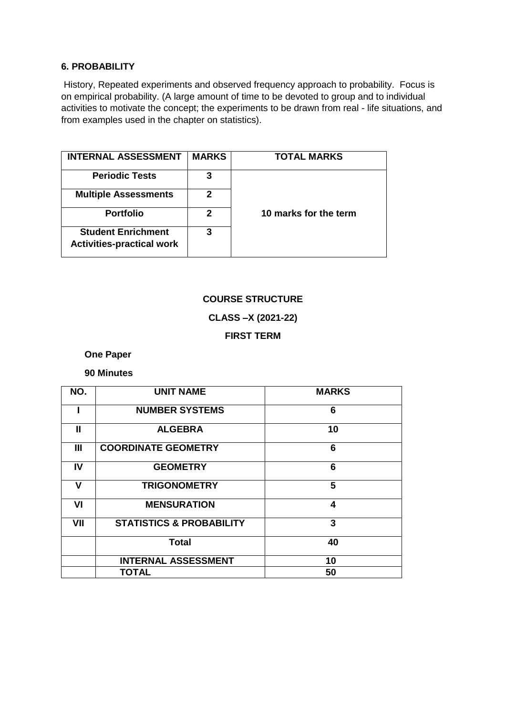# **6. PROBABILITY**

History, Repeated experiments and observed frequency approach to probability. Focus is on empirical probability. (A large amount of time to be devoted to group and to individual activities to motivate the concept; the experiments to be drawn from real - life situations, and from examples used in the chapter on statistics).

| <b>INTERNAL ASSESSMENT</b>                                    | <b>MARKS</b> | TOTAL MARKS           |
|---------------------------------------------------------------|--------------|-----------------------|
| <b>Periodic Tests</b>                                         | 3            |                       |
| <b>Multiple Assessments</b>                                   | 2            |                       |
| <b>Portfolio</b>                                              | 2            | 10 marks for the term |
| <b>Student Enrichment</b><br><b>Activities-practical work</b> | 3            |                       |

# **COURSE STRUCTURE**

**CLASS –X (2021-22)**

**FIRST TERM** 

 **One Paper**

 **90 Minutes** 

| NO.            | <b>UNIT NAME</b>                    | <b>MARKS</b> |
|----------------|-------------------------------------|--------------|
|                | <b>NUMBER SYSTEMS</b>               | 6            |
| Ш              | <b>ALGEBRA</b>                      | 10           |
| $\mathbf{III}$ | <b>COORDINATE GEOMETRY</b>          | 6            |
| IV             | <b>GEOMETRY</b>                     | 6            |
| v              | <b>TRIGONOMETRY</b>                 | 5            |
| VI             | <b>MENSURATION</b>                  | 4            |
| VII            | <b>STATISTICS &amp; PROBABILITY</b> | 3            |
|                | <b>Total</b>                        | 40           |
|                | <b>INTERNAL ASSESSMENT</b>          | 10           |
|                | TOTAL                               | 50           |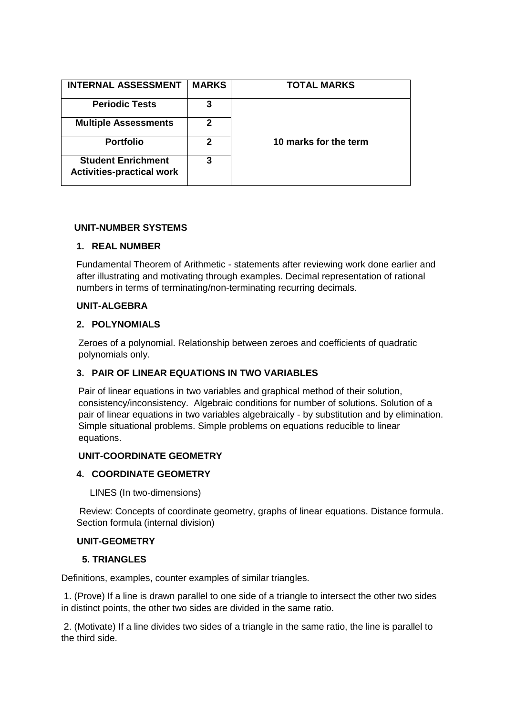| <b>INTERNAL ASSESSMENT</b>                                    | <b>MARKS</b> | <b>TOTAL MARKS</b>    |
|---------------------------------------------------------------|--------------|-----------------------|
| <b>Periodic Tests</b>                                         | 3            |                       |
| <b>Multiple Assessments</b>                                   | 2            |                       |
| <b>Portfolio</b>                                              | 2            | 10 marks for the term |
| <b>Student Enrichment</b><br><b>Activities-practical work</b> | 3            |                       |

#### **UNIT-NUMBER SYSTEMS**

#### **1. REAL NUMBER**

Fundamental Theorem of Arithmetic - statements after reviewing work done earlier and after illustrating and motivating through examples. Decimal representation of rational numbers in terms of terminating/non-terminating recurring decimals.

#### **UNIT-ALGEBRA**

#### **2. POLYNOMIALS**

Zeroes of a polynomial. Relationship between zeroes and coefficients of quadratic polynomials only.

#### **3. PAIR OF LINEAR EQUATIONS IN TWO VARIABLES**

Pair of linear equations in two variables and graphical method of their solution, consistency/inconsistency. Algebraic conditions for number of solutions. Solution of a pair of linear equations in two variables algebraically - by substitution and by elimination. Simple situational problems. Simple problems on equations reducible to linear equations.

#### **UNIT-COORDINATE GEOMETRY**

#### **4. COORDINATE GEOMETRY**

LINES (In two-dimensions)

 Review: Concepts of coordinate geometry, graphs of linear equations. Distance formula. Section formula (internal division)

#### **UNIT-GEOMETRY**

#### **5. TRIANGLES**

Definitions, examples, counter examples of similar triangles.

1. (Prove) If a line is drawn parallel to one side of a triangle to intersect the other two sides in distinct points, the other two sides are divided in the same ratio.

2. (Motivate) If a line divides two sides of a triangle in the same ratio, the line is parallel to the third side.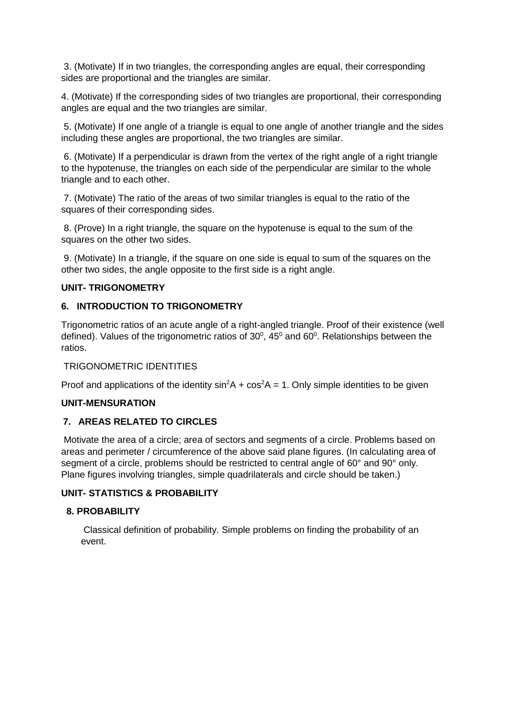3. (Motivate) If in two triangles, the corresponding angles are equal, their corresponding sides are proportional and the triangles are similar.

4. (Motivate) If the corresponding sides of two triangles are proportional, their corresponding angles are equal and the two triangles are similar.

5. (Motivate) If one angle of a triangle is equal to one angle of another triangle and the sides including these angles are proportional, the two triangles are similar.

6. (Motivate) If a perpendicular is drawn from the vertex of the right angle of a right triangle to the hypotenuse, the triangles on each side of the perpendicular are similar to the whole triangle and to each other.

7. (Motivate) The ratio of the areas of two similar triangles is equal to the ratio of the squares of their corresponding sides.

8. (Prove) In a right triangle, the square on the hypotenuse is equal to the sum of the squares on the other two sides.

9. (Motivate) In a triangle, if the square on one side is equal to sum of the squares on the other two sides, the angle opposite to the first side is a right angle.

# **UNIT- TRIGONOMETRY**

### **6. INTRODUCTION TO TRIGONOMETRY**

Trigonometric ratios of an acute angle of a right-angled triangle. Proof of their existence (well defined). Values of the trigonometric ratios of  $30^0$ , 45<sup>0</sup> and 60<sup>0</sup>. Relationships between the ratios.

#### TRIGONOMETRIC IDENTITIES

Proof and applications of the identity  $sin^2 A + cos^2 A = 1$ . Only simple identities to be given

#### **UNIT-MENSURATION**

#### **7. AREAS RELATED TO CIRCLES**

Motivate the area of a circle; area of sectors and segments of a circle. Problems based on areas and perimeter / circumference of the above said plane figures. (In calculating area of segment of a circle, problems should be restricted to central angle of 60° and 90° only. Plane figures involving triangles, simple quadrilaterals and circle should be taken.)

#### **UNIT- STATISTICS & PROBABILITY**

#### **8. PROBABILITY**

Classical definition of probability. Simple problems on finding the probability of an event.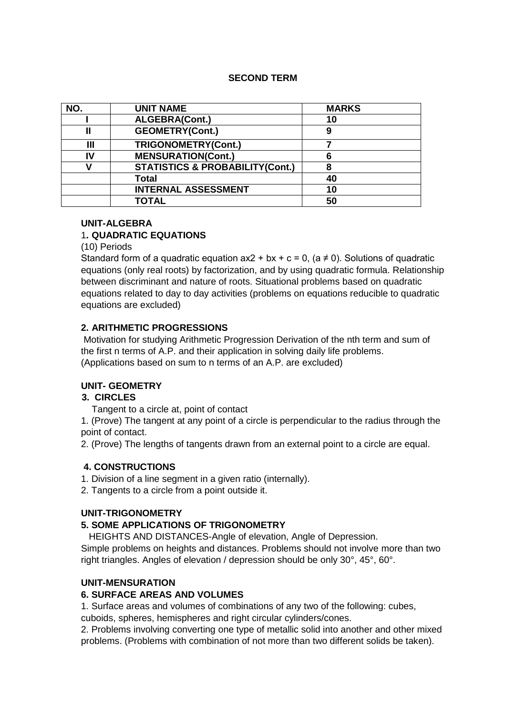### **SECOND TERM**

| NO. | <b>UNIT NAME</b>                           | <b>MARKS</b> |  |
|-----|--------------------------------------------|--------------|--|
|     | ALGEBRA(Cont.)                             | 10           |  |
|     | <b>GEOMETRY(Cont.)</b>                     | 9            |  |
| Ш   | TRIGONOMETRY(Cont.)                        |              |  |
| IV  | <b>MENSURATION(Cont.)</b>                  | 6            |  |
|     | <b>STATISTICS &amp; PROBABILITY(Cont.)</b> | 8            |  |
|     | Total                                      | 40           |  |
|     | <b>INTERNAL ASSESSMENT</b>                 | 10           |  |
|     | <b>TOTAL</b>                               | 50           |  |

### **UNIT-ALGEBRA**

# 1**. QUADRATIC EQUATIONS**

(10) Periods

Standard form of a quadratic equation  $ax2 + bx + c = 0$ ,  $(a \ne 0)$ . Solutions of quadratic equations (only real roots) by factorization, and by using quadratic formula. Relationship between discriminant and nature of roots. Situational problems based on quadratic equations related to day to day activities (problems on equations reducible to quadratic equations are excluded)

# **2. ARITHMETIC PROGRESSIONS**

Motivation for studying Arithmetic Progression Derivation of the nth term and sum of the first n terms of A.P. and their application in solving daily life problems. (Applications based on sum to n terms of an A.P. are excluded)

#### **UNIT- GEOMETRY**

#### **3. CIRCLES**

Tangent to a circle at, point of contact

1. (Prove) The tangent at any point of a circle is perpendicular to the radius through the point of contact.

2. (Prove) The lengths of tangents drawn from an external point to a circle are equal.

# **4. CONSTRUCTIONS**

1. Division of a line segment in a given ratio (internally).

2. Tangents to a circle from a point outside it.

#### **UNIT-TRIGONOMETRY**

# **5. SOME APPLICATIONS OF TRIGONOMETRY**

HEIGHTS AND DISTANCES-Angle of elevation, Angle of Depression.

Simple problems on heights and distances. Problems should not involve more than two right triangles. Angles of elevation / depression should be only 30°, 45°, 60°.

# **UNIT-MENSURATION**

### **6. SURFACE AREAS AND VOLUMES**

1. Surface areas and volumes of combinations of any two of the following: cubes,

cuboids, spheres, hemispheres and right circular cylinders/cones.

2. Problems involving converting one type of metallic solid into another and other mixed problems. (Problems with combination of not more than two different solids be taken).